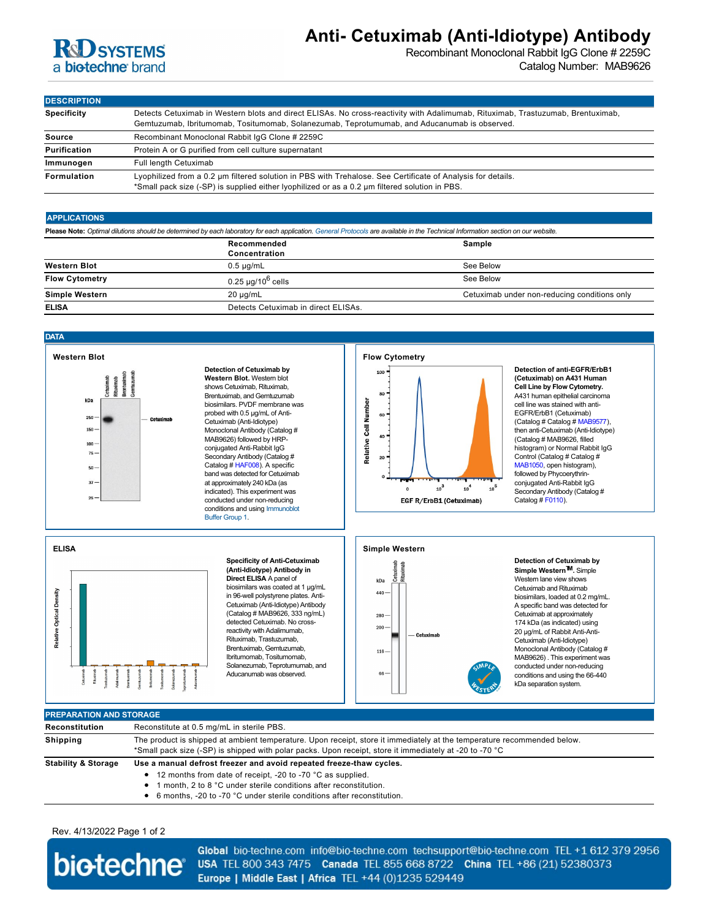| <b>R&amp;D SYSTEMS</b><br>a biotechne brand                                                                                                                                                                                                    |                                                                                                                                                 |                                                                                                                                                                                                                                                                                                                                                                                                                                                                                                                                   | Anti- Cetuximab (Anti-Idiotype) Antibody                                                                                                                                                                      | Recombinant Monoclonal Rabbit IgG Clone # 2259C<br>Catalog Number: MAB9626                                                                                                                                                                                                                                                                                                                                                                                                                   |
|------------------------------------------------------------------------------------------------------------------------------------------------------------------------------------------------------------------------------------------------|-------------------------------------------------------------------------------------------------------------------------------------------------|-----------------------------------------------------------------------------------------------------------------------------------------------------------------------------------------------------------------------------------------------------------------------------------------------------------------------------------------------------------------------------------------------------------------------------------------------------------------------------------------------------------------------------------|---------------------------------------------------------------------------------------------------------------------------------------------------------------------------------------------------------------|----------------------------------------------------------------------------------------------------------------------------------------------------------------------------------------------------------------------------------------------------------------------------------------------------------------------------------------------------------------------------------------------------------------------------------------------------------------------------------------------|
|                                                                                                                                                                                                                                                |                                                                                                                                                 |                                                                                                                                                                                                                                                                                                                                                                                                                                                                                                                                   |                                                                                                                                                                                                               |                                                                                                                                                                                                                                                                                                                                                                                                                                                                                              |
| <b>DESCRIPTION</b>                                                                                                                                                                                                                             |                                                                                                                                                 |                                                                                                                                                                                                                                                                                                                                                                                                                                                                                                                                   |                                                                                                                                                                                                               |                                                                                                                                                                                                                                                                                                                                                                                                                                                                                              |
| <b>Specificity</b>                                                                                                                                                                                                                             |                                                                                                                                                 |                                                                                                                                                                                                                                                                                                                                                                                                                                                                                                                                   | Detects Cetuximab in Western blots and direct ELISAs. No cross-reactivity with Adalimumab, Rituximab, Trastuzumab, Brentuximab,                                                                               |                                                                                                                                                                                                                                                                                                                                                                                                                                                                                              |
| <b>Source</b>                                                                                                                                                                                                                                  | Gemtuzumab, Ibritumomab, Tositumomab, Solanezumab, Teprotumumab, and Aducanumab is observed.<br>Recombinant Monoclonal Rabbit IgG Clone # 2259C |                                                                                                                                                                                                                                                                                                                                                                                                                                                                                                                                   |                                                                                                                                                                                                               |                                                                                                                                                                                                                                                                                                                                                                                                                                                                                              |
| Purification                                                                                                                                                                                                                                   | Protein A or G purified from cell culture supernatant                                                                                           |                                                                                                                                                                                                                                                                                                                                                                                                                                                                                                                                   |                                                                                                                                                                                                               |                                                                                                                                                                                                                                                                                                                                                                                                                                                                                              |
| Immunogen                                                                                                                                                                                                                                      | <b>Full length Cetuximab</b>                                                                                                                    |                                                                                                                                                                                                                                                                                                                                                                                                                                                                                                                                   |                                                                                                                                                                                                               |                                                                                                                                                                                                                                                                                                                                                                                                                                                                                              |
| Formulation                                                                                                                                                                                                                                    |                                                                                                                                                 |                                                                                                                                                                                                                                                                                                                                                                                                                                                                                                                                   | Lyophilized from a 0.2 um filtered solution in PBS with Trehalose. See Certificate of Analysis for details.<br>*Small pack size (-SP) is supplied either lyophilized or as a 0.2 µm filtered solution in PBS. |                                                                                                                                                                                                                                                                                                                                                                                                                                                                                              |
| <b>APPLICATIONS</b>                                                                                                                                                                                                                            |                                                                                                                                                 |                                                                                                                                                                                                                                                                                                                                                                                                                                                                                                                                   |                                                                                                                                                                                                               |                                                                                                                                                                                                                                                                                                                                                                                                                                                                                              |
|                                                                                                                                                                                                                                                |                                                                                                                                                 |                                                                                                                                                                                                                                                                                                                                                                                                                                                                                                                                   | Please Note: Optimal dilutions should be determined by each laboratory for each application. General Protocols are available in the Technical Information section on our website.                             |                                                                                                                                                                                                                                                                                                                                                                                                                                                                                              |
|                                                                                                                                                                                                                                                |                                                                                                                                                 | Recommended                                                                                                                                                                                                                                                                                                                                                                                                                                                                                                                       | Sample                                                                                                                                                                                                        |                                                                                                                                                                                                                                                                                                                                                                                                                                                                                              |
| <b>Western Blot</b>                                                                                                                                                                                                                            |                                                                                                                                                 | Concentration                                                                                                                                                                                                                                                                                                                                                                                                                                                                                                                     |                                                                                                                                                                                                               |                                                                                                                                                                                                                                                                                                                                                                                                                                                                                              |
| <b>Flow Cytometry</b>                                                                                                                                                                                                                          |                                                                                                                                                 | $0.5 \mu g/mL$                                                                                                                                                                                                                                                                                                                                                                                                                                                                                                                    | See Below                                                                                                                                                                                                     |                                                                                                                                                                                                                                                                                                                                                                                                                                                                                              |
|                                                                                                                                                                                                                                                |                                                                                                                                                 | $0.25 \mu g/10^6$ cells                                                                                                                                                                                                                                                                                                                                                                                                                                                                                                           | See Below                                                                                                                                                                                                     |                                                                                                                                                                                                                                                                                                                                                                                                                                                                                              |
| <b>Simple Western</b>                                                                                                                                                                                                                          |                                                                                                                                                 | 20 µg/mL                                                                                                                                                                                                                                                                                                                                                                                                                                                                                                                          |                                                                                                                                                                                                               | Cetuximab under non-reducing conditions only                                                                                                                                                                                                                                                                                                                                                                                                                                                 |
| ELISA                                                                                                                                                                                                                                          |                                                                                                                                                 | Detects Cetuximab in direct ELISAs.                                                                                                                                                                                                                                                                                                                                                                                                                                                                                               |                                                                                                                                                                                                               |                                                                                                                                                                                                                                                                                                                                                                                                                                                                                              |
|                                                                                                                                                                                                                                                |                                                                                                                                                 |                                                                                                                                                                                                                                                                                                                                                                                                                                                                                                                                   |                                                                                                                                                                                                               |                                                                                                                                                                                                                                                                                                                                                                                                                                                                                              |
| <b>DATA</b>                                                                                                                                                                                                                                    |                                                                                                                                                 |                                                                                                                                                                                                                                                                                                                                                                                                                                                                                                                                   |                                                                                                                                                                                                               |                                                                                                                                                                                                                                                                                                                                                                                                                                                                                              |
| <b>Western Blot</b>                                                                                                                                                                                                                            |                                                                                                                                                 |                                                                                                                                                                                                                                                                                                                                                                                                                                                                                                                                   | <b>Flow Cytometry</b>                                                                                                                                                                                         |                                                                                                                                                                                                                                                                                                                                                                                                                                                                                              |
| Rituximab<br>Brentuximal<br>Cetuximab<br>kDa<br>250<br>150<br>100<br>$75 -$<br>$50 -$<br>$37 -$<br>25                                                                                                                                          | Cetuximab<br>Cetuximab (Anti-Idiotype)<br>Buffer Group 1.                                                                                       | Detection of Cetuximab by<br>Western Blot. Western blot<br>shows Cetuximab, Rituximab,<br>Brentuximab, and Gemtuzumab<br>biosimilars. PVDF membrane was<br>probed with 0.5 µg/mL of Anti-<br>Monoclonal Antibody (Catalog #<br>MAB9626) followed by HRP-<br>conjugated Anti-Rabbit IgG<br>Secondary Antibody (Catalog #<br>Catalog # HAF008). A specific<br>band was detected for Cetuximab<br>at approximately 240 kDa (as<br>indicated). This experiment was<br>conducted under non-reducing<br>conditions and using Immunoblot | 100<br>80<br>Relative Cell Number<br>60<br>40<br>20<br>$\mathbf{10}^{\mathbf{5}}$<br>10 <sup>3</sup><br>10 <sup>4</sup><br>$\mathbf{o}$<br>EGF R/ErbB1 (Cetuximab)                                            | (Cetuximab) on A431 Human<br>Cell Line by Flow Cytometry.<br>A431 human epithelial carcinoma<br>cell line was stained with anti-<br>EGFR/ErbB1 (Cetuximab)<br>(Catalog # Catalog # MAB9577),<br>then anti-Cetuximab (Anti-Idiotype)<br>(Catalog # MAB9626, filled<br>histogram) or Normal Rabbit IgG<br>Control (Catalog # Catalog #<br>MAB1050, open histogram),<br>followed by Phycoerythrin-<br>conjugated Anti-Rabbit IgG<br>Secondary Antibody (Catalog #<br>Catalog # F0110).          |
| <b>ELISA</b>                                                                                                                                                                                                                                   |                                                                                                                                                 |                                                                                                                                                                                                                                                                                                                                                                                                                                                                                                                                   | <b>Simple Western</b>                                                                                                                                                                                         |                                                                                                                                                                                                                                                                                                                                                                                                                                                                                              |
| Relative Optical Density                                                                                                                                                                                                                       | Cetuxinas<br>Rituzinas<br>Trastuzurnas<br>Adelinumas<br>Bientuzurnas<br>Tositumomes<br>protumumeb<br>Aducanumeb<br>i<br>Sdanezumab<br>.         | <b>Specificity of Anti-Cetuximab</b><br>(Anti-Idiotype) Antibody in<br>Direct ELISA A panel of<br>biosimilars was coated at 1 µg/mL<br>in 96-well polystyrene plates. Anti-<br>Cetuximab (Anti-Idiotype) Antibody<br>(Catalog # MAB9626, 333 ng/mL)<br>detected Cetuximab. No cross-<br>reactivity with Adalimumab,<br>Rituximab, Trastuzumab,<br>Brentuximab, Gemtuzumab,<br>Ibritumomab, Tositumomab,<br>Solanezumab, Teprotumumab, and<br>Aducanumab was observed.                                                             | Cetuximab<br>Rituximab<br>kDa<br>440<br>$280 -$<br>200<br>Cetuximab<br>$116 -$<br>66                                                                                                                          | Detection of Cetuximab by<br>Simple Western <sup>™</sup> . Simple<br>Western lane view shows<br>Cetuximab and Rituximab<br>biosimilars, loaded at 0.2 mg/mL.<br>A specific band was detected for<br>Cetuximab at approximately<br>174 kDa (as indicated) using<br>20 µg/mL of Rabbit Anti-Anti-<br>Cetuximab (Anti-Idiotype)<br>Monoclonal Antibody (Catalog #<br>MAB9626). This experiment was<br>conducted under non-reducing<br>conditions and using the 66-440<br>kDa separation system. |
| <b>PREPARATION AND STORAGE</b>                                                                                                                                                                                                                 |                                                                                                                                                 |                                                                                                                                                                                                                                                                                                                                                                                                                                                                                                                                   |                                                                                                                                                                                                               |                                                                                                                                                                                                                                                                                                                                                                                                                                                                                              |
| Reconstitution                                                                                                                                                                                                                                 | Reconstitute at 0.5 mg/mL in sterile PBS.                                                                                                       |                                                                                                                                                                                                                                                                                                                                                                                                                                                                                                                                   |                                                                                                                                                                                                               |                                                                                                                                                                                                                                                                                                                                                                                                                                                                                              |
| The product is shipped at ambient temperature. Upon receipt, store it immediately at the temperature recommended below.<br>Shipping<br>*Small pack size (-SP) is shipped with polar packs. Upon receipt, store it immediately at -20 to -70 °C |                                                                                                                                                 |                                                                                                                                                                                                                                                                                                                                                                                                                                                                                                                                   |                                                                                                                                                                                                               |                                                                                                                                                                                                                                                                                                                                                                                                                                                                                              |
| <b>Stability &amp; Storage</b>                                                                                                                                                                                                                 | Use a manual defrost freezer and avoid repeated freeze-thaw cycles.                                                                             |                                                                                                                                                                                                                                                                                                                                                                                                                                                                                                                                   |                                                                                                                                                                                                               |                                                                                                                                                                                                                                                                                                                                                                                                                                                                                              |
|                                                                                                                                                                                                                                                | ٠<br>• 6 months, -20 to -70 °C under sterile conditions after reconstitution.                                                                   | 12 months from date of receipt, -20 to -70 °C as supplied.<br>1 month, 2 to 8 °C under sterile conditions after reconstitution.                                                                                                                                                                                                                                                                                                                                                                                                   |                                                                                                                                                                                                               |                                                                                                                                                                                                                                                                                                                                                                                                                                                                                              |

### **APPLICATIONS**

| Please Note: Optimal dilutions should be determined by each laboratory for each application. General Protocols are available in the Technical Information section on our website. |                                     |                                              |  |  |
|-----------------------------------------------------------------------------------------------------------------------------------------------------------------------------------|-------------------------------------|----------------------------------------------|--|--|
|                                                                                                                                                                                   | Recommended<br>Concentration        | <b>Sample</b>                                |  |  |
| <b>Western Blot</b>                                                                                                                                                               | $0.5 \mu q/mL$                      | See Below                                    |  |  |
| <b>Flow Cytometry</b>                                                                                                                                                             | 0.25 µg/10 $^6$ cells               | See Below                                    |  |  |
| <b>Simple Western</b>                                                                                                                                                             | $20 \mu q/mL$                       | Cetuximab under non-reducing conditions only |  |  |
| <b>ELISA</b>                                                                                                                                                                      | Detects Cetuximab in direct ELISAs. |                                              |  |  |

## **DATA**











## **PREPARATION AND STORAGE Reconstitution** Reconstitute at 0.5 mg/mL in sterile PBS. **Shipping** The product is shipped at ambient temperature. Upon receipt, store it immediately at the temperature recommended below. \*Small pack size (-SP) is shipped with polar packs. Upon receipt, store it immediately at -20 to -70 °C **Stability & Storage Use a manual defrost freezer and avoid repeated freeze-thaw cycles.** 12 months from date of receipt, -20 to -70 °C as supplied.  $\bullet$

- 1 month, 2 to 8 °C under sterile conditions after reconstitution.
- $\bullet$
- 

Rev. 4/13/2022 Page 1 of 2



Global bio-techne.com info@bio-techne.com techsupport@bio-techne.com TEL +1 612 379 2956 USA TEL 800 343 7475 Canada TEL 855 668 8722 China TEL +86 (21) 52380373 Europe | Middle East | Africa TEL +44 (0)1235 529449